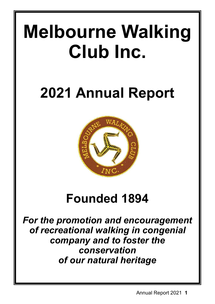# **Melbourne Walking Club Inc.**

# **2021 Annual Report**



## **Founded 1894**

*For the promotion and encouragement of recreational walking in congenial company and to foster the conservation of our natural heritage*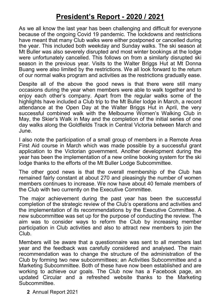## **President's Report - 2020 / 2021**

As we all know the last year has been challenging and difficult for everyone because of the ongoing Covid 19 pandemic. The lockdowns and restrictions have meant that many Club walks were either postponed or cancelled during the year. This included both weekday and Sunday walks. The ski season at Mt Buller was also severely disrupted and most winter bookings at the lodge were unfortunately cancelled. This follows on from a similarly disrupted ski season in the previous year. Visits to the Walter Briggs Hut at Mt Donna Buang were also limited by the restrictions. We all look forward to the return of our normal walks program and activities as the restrictions gradually ease.

Despite all of the above the good news is that there were still many occasions during the year when members were able to walk together and to enjoy each other's company. Apart from the regular walks some of the highlights have included a Club trip to the Mt Buller lodge in March, a record attendance at the Open Day at the Walter Briggs Hut in April, the very successful combined walk with the Melbourne Women's Walking Club in May, the Skier's Walk in May and the completion of the initial series of one day walks along the Goldfields Track in Central Victoria between March and June.

I also note the participation of a small group of members in a Remote Area First Aid course in March which was made possible by a successful grant application to the Victorian government. Another development during the year has been the implementation of a new online booking system for the ski lodge thanks to the efforts of the Mt Buller Lodge Subcommittee.

The other good news is that the overall membership of the Club has remained fairly constant at about 270 and pleasingly the number of women members continues to increase. We now have about 40 female members of the Club with two currently on the Executive Committee.

The major achievement during the past year has been the successful completion of the strategic review of the Club's operations and activities and the implementation of its recommendations by the Executive Committee. A new subcommittee was set up for the purpose of conducting the review. The aim was to consider ways to reform the Club by increasing member participation in Club activities and also to attract new members to join the Club.

Members will be aware that a questionnaire was sent to all members last year and the feedback was carefully considered and analysed. The main recommendation was to change the structure of the administration of the Club by forming two new subcommittees; an Activities Subcommittee and a Marketing Subcommittee. Both of these have now been established and are working to achieve our goals. The Club now has a Facebook page, an updated Circular and a refreshed website thanks to the Marketing Subcommittee.

**2** Annual Report 2021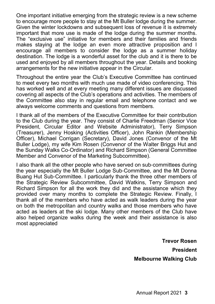One important initiative emerging from the strategic review is a new scheme to encourage more people to stay at the Mt Buller lodge during the summer. Given the winter lockdowns and subsequent loss of revenue it is extremely important that more use is made of the lodge during the summer months. The "exclusive use" initiative for members and their families and friends makes staying at the lodge an even more attractive proposition and I encourage all members to consider the lodge as a summer holiday destination. The lodge is a wonderful asset for the club and it is there to be used and enjoyed by all members throughout the year. Details and booking arrangements for the new initiative appear in the Circular.

Throughout the entire year the Club's Executive Committee has continued to meet every two months with much use made of video conferencing. This has worked well and at every meeting many different issues are discussed covering all aspects of the Club's operations and activities. The members of the Committee also stay in regular email and telephone contact and we always welcome comments and questions from members.

I thank all of the members of the Executive Committee for their contribution to the Club during the year. They consist of Charlie Freedman (Senior Vice President, Circular Editor and Website Administrator), Terry Simpson (Treasurer), Jenny Hosking (Activities Officer), John Rankin (Membership Officer), Michael Corrigan (Secretary), David Jones (Convenor of the Mt Buller Lodge), my wife Kim Rosen (Convenor of the Walter Briggs Hut and the Sunday Walks Co-Ordinator) and Richard Simpson (General Committee Member and Convenor of the Marketing Subcommittee).

I also thank all the other people who have served on sub-committees during the year especially the Mt Buller Lodge Sub-Committee, and the Mt Donna Buang Hut Sub-Committee. I particularly thank the three other members of the Strategic Review Subcommittee, David Watkins, Terry Simpson and Richard Simpson for all the work they did and the assistance which they provided over many months to complete the Strategic Review. Finally, I thank all of the members who have acted as walk leaders during the year on both the metropolitan and country walks and those members who have acted as leaders at the ski lodge. Many other members of the Club have also helped organize walks during the week and their assistance is also most appreciated

> **Trevor Rosen President Melbourne Walking Club**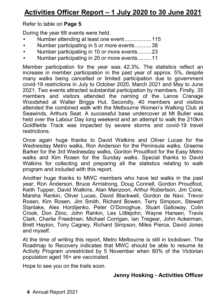Refer to table on **Page 5**.

During the year 68 events were held.

- Number attending at least one event .................. 115
- Number participating in 5 or more events ........... 38
- Number participating in 10 or more events ......... 23
- Number participating in 20 or more events ......... 11

Member participation for the year was 42.3%. The statistics reflect an increase in member participation in the past year of approx. 5%, despite many walks being cancelled or limited participation due to government covid-19 restrictions in July to October 2020, March 2021 and May to June 2021. Two events attracted substantial participation by members. Firstly, 35 members and visitors attended the naming of the Lance Cranage Woodshed at Walter Briggs Hut. Secondly, 40 members and visitors attended the combined walk with the Melbourne Women's Walking Club at Seawinds, Arthurs Seat. A successful base undercover at Mt Buller was held over the Labour Day long weekend and an attempt to walk the 210km Goldfields Track was impacted by severe storms and covid-19 travel restrictions.

Once again huge thanks to David Watkins and Oliver Lucas for the Wednesday Metro walks, Ron Anderson for the Peninsula walks, Graeme Barker for the 3rd Wednesday walks, Gordon Proudfoot for the Easy Metro walks and Kim Rosen for the Sunday walks. Special thanks to David Watkins for collecting and preparing all the statistics relating to walk program and included with this report.

Another huge thanks to MWC members who have led walks in the past year; Ron Anderson, Bruce Armstrong, Doug Connell, Gordon Proudfoot, Keith Tupper, David Watkins, Alan Manzoori, Arthur Robertson, Jim Cone, Marsha Rankin, Oliver Lucas, David Blackwell, Gordon de Navi, Trevor Rosen, Kim Rosen, Jim Smith, Richard Bowen, Terry Simpson, Stewart Stanlake, Alex Hordijenko, Peter O'Donoghue, Stuart Galloway, Colin Crook, Don Ziino, John Rankin, Les Littlejohn, Wayne Hansen, Travis Clark, Charlie Freedman, Michael Corrigan, Ian Tregear, John Ackerman, Brett Hayton, Tony Cagney, Richard Simpson, Miles Pierce, David Jones and myself.

At the time of writing this report, Metro Melbourne is still in lockdown. The Roadmap to Recovery indicates that MWC should be able to resume its Activity Program unrestricted by 5 November when 80% of the Victorian population aged 16+ are vaccinated.

Hope to see you on the trails soon.

### **Jenny Hosking - Activities Officer**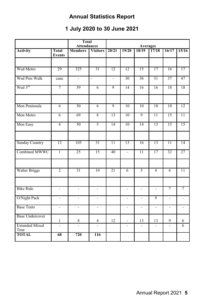## **Annual Statistics Report**

## **1 July 2020 to 30 June 2021**

|                               |                          | <b>Total</b><br><b>Attendances</b> |                          | <b>Averages</b> |                          |                          |                          |                          |                          |
|-------------------------------|--------------------------|------------------------------------|--------------------------|-----------------|--------------------------|--------------------------|--------------------------|--------------------------|--------------------------|
| <b>Activity</b>               | Total<br><b>Events</b>   | <b>Members</b>                     | <b>Visitors</b>          | 20/21           | 19/20                    | 18/19                    | 17/18                    | 16/17                    | 15/16                    |
|                               |                          |                                    |                          |                 |                          |                          |                          |                          |                          |
| Wed Metro                     | 29                       | 325                                | 31                       | 12              | 12                       | 15                       | 17                       | 16                       | 17                       |
| Wed Pres Walk                 | canc                     | $\overline{a}$                     | $\frac{1}{2}$            | $\overline{a}$  | 30                       | 36                       | 31                       | 37                       | 47                       |
| Wed 3rd                       | 7                        | 59                                 | $\overline{6}$           | 9               | 14                       | 16                       | 16                       | 18                       | 18                       |
|                               |                          |                                    |                          |                 |                          |                          |                          |                          |                          |
| Mon Peninsula                 | 6                        | 50                                 | $\overline{6}$           | 9               | 10                       | 10                       | 10                       | 10                       | $\overline{12}$          |
| Mon Metro                     | $\overline{6}$           | 69                                 | 8                        | 13              | 10                       | 9                        | $\overline{11}$          | 15                       | 11                       |
| Mon Easy                      | $\overline{4}$           | 50                                 | 5                        | 14              | 10                       | 14                       | 13                       | 15                       | 15                       |
|                               |                          |                                    |                          |                 |                          |                          |                          |                          |                          |
| <b>Sunday Country</b>         | 12                       | 103                                | 31                       | $\overline{11}$ | $\overline{13}$          | 16                       | 13                       | $\overline{11}$          | 14                       |
| Combined MWWC                 | T                        | 25                                 | 15                       | 40              | $\overline{a}$           | $\overline{11}$          | 17                       | 32                       | 27                       |
|                               |                          |                                    |                          |                 |                          |                          |                          |                          |                          |
| <b>Walter Briggs</b>          | $\overline{2}$           | 31                                 | 10                       | 21              | $\overline{6}$           | 5                        | 4                        | 6                        | 11                       |
|                               |                          |                                    |                          |                 |                          |                          |                          |                          |                          |
| <b>Bike Ride</b>              | $\blacksquare$           | $\overline{\phantom{a}}$           | $\overline{\phantom{a}}$ |                 | $\overline{\phantom{a}}$ | $\overline{\phantom{a}}$ | $\overline{\phantom{a}}$ | $\overline{7}$           | $\overline{7}$           |
| O/Night Pack                  | $\overline{a}$           | L.                                 | ÷,                       |                 | $\overline{a}$           | $\overline{\phantom{a}}$ | $\overline{9}$           | $\overline{\phantom{a}}$ | $\overline{\phantom{a}}$ |
| <b>Base Tents</b>             | $\overline{\phantom{a}}$ | ÷.                                 | $\overline{\phantom{a}}$ |                 | $\overline{\phantom{a}}$ | $\overline{\phantom{a}}$ | $\overline{\phantom{a}}$ | $\overline{\phantom{a}}$ | $\overline{\phantom{a}}$ |
| <b>Base Undercover</b>        | $\mathbf{1}$             | 8                                  | $\overline{4}$           | 12              | $\overline{a}$           | 13                       | 13                       | 9                        | 6                        |
| <b>Extended Mixed</b><br>Tour |                          |                                    |                          |                 | $\overline{a}$           |                          |                          | $\overline{a}$           | $\overline{6}$           |
| <b>TOTAL</b>                  | 68                       | 720                                | 116                      |                 |                          |                          |                          |                          |                          |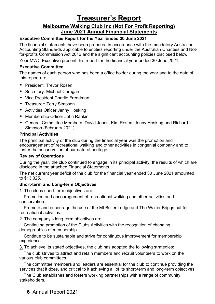## **Treasurer's Report**

#### **Melbourne Walking Club Inc (Not For Profit Reporting) June 2021 Annual Financial Statements**

#### **Executive Committee Report for the Year Ended 30 June 2021**

The financial statements have been prepared in accordance with the mandatory Australian Accounting Standards applicable to entities reporting under the Australian Charities and Notfor-profits Commission Act 2012 and the significant accounting policies disclosed below.

Your MWC Executive present this report for the financial year ended 30 June 2021.

#### **Executive Committee**

The names of each person who has been a office holder during the year and to the date of this report are:

- President: Trevor Rosen
- Secretary: Michael Corrigan
- Vice President Charlie Freedman
- Treasurer: Terry Simpson
- Activities Officer Jenny Hosking
- Membership Officer John Rankin
- General Committee Members: David Jones, Kim Rosen, Jenny Hosking and Richard Simpson (February 2021)

#### **Principal Activities**

The principal activity of the club during the financial year was the promotion and encouragement of recreational walking and other activities in congenial company and to foster the conservation of our natural heritage.

#### **Review of Operations**

During the year, the club continued to engage in its principal activity, the results of which are disclosed in the attached Financial Statements.

The net current year deficit of the club for the financial year ended 30 June 2021 amounted to \$13,325.

#### **Short-term and Long-term Objectives**

1. The clubs short-term objectives are:

Promotion and encouragement of recreational walking and other activities and conservation.

Promote and encourage the use of the Mt Buller Lodge and The Walter Briggs hut for recreational activities.

2. The company's long-term objectives are:

Continuing promotion of the Clubs Activities with the recognition of changing demographics of membership.

Continue to be sustainable and strive for continuous improvement for membership experience.

3. To achieve its stated objectives, the club has adopted the following strategies:

The club strives to attract and retain members and recruit volunteers to work on the various club committees.

The committee members and leaders are essential for the club to continue providing the services that it does, and critical to it achieving all of its short-term and long-term objectives.

The Club establishes and fosters working partnerships with a range of community stakeholders.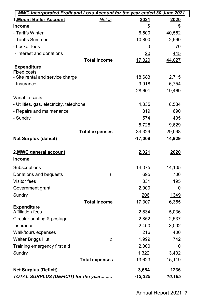| MWC Incorporated Profit and Loss Account for the year ended 30 June 2021 |                         |               |               |  |  |  |
|--------------------------------------------------------------------------|-------------------------|---------------|---------------|--|--|--|
| 1. Mount Buller Account                                                  | <b>Notes</b>            | 2021          | 2020          |  |  |  |
| <b>Income</b>                                                            |                         | \$            | \$            |  |  |  |
| - Tariffs Winter                                                         |                         | 6,500         | 40,552        |  |  |  |
| - Tariffs Summer                                                         |                         | 10,800        | 2,960         |  |  |  |
| - Locker fees                                                            |                         | 0             | 70            |  |  |  |
| - Interest and donations                                                 |                         | 20            | 445           |  |  |  |
|                                                                          | <b>Total Income</b>     | 17,320        | 44,027        |  |  |  |
| <b>Expenditure</b>                                                       |                         |               |               |  |  |  |
| <b>Fixed costs</b>                                                       |                         |               |               |  |  |  |
| - Site rental and service charge                                         |                         | 18,683        | 12,715        |  |  |  |
| - Insurance                                                              |                         | 9,918         | 6,754         |  |  |  |
|                                                                          |                         | 28,601        | 19,469        |  |  |  |
| Variable costs                                                           |                         |               |               |  |  |  |
| - Utilities, gas, electricity, telephone                                 |                         | 4,335         | 8,534         |  |  |  |
| - Repairs and maintenance                                                |                         | 819           | 690           |  |  |  |
| - Sundry                                                                 |                         | 574           | 405           |  |  |  |
|                                                                          |                         | 5,728         | 9,629         |  |  |  |
|                                                                          | <b>Total expenses</b>   | 34,329        | <u>29,098</u> |  |  |  |
| <b>Net Surplus (deficit)</b>                                             |                         | $-17,009$     | 14,929        |  |  |  |
| 2.MWC general account                                                    |                         | <u>2,021</u>  | 2020          |  |  |  |
| Income                                                                   |                         |               |               |  |  |  |
| Subscriptions                                                            |                         | 14,075        | 14,105        |  |  |  |
| Donations and bequests                                                   | 1                       | 695           | 706           |  |  |  |
| Visitor fees                                                             |                         | 331           | 195           |  |  |  |
| Government grant                                                         |                         | 2,000         | 0             |  |  |  |
| Sundry                                                                   |                         | 206           | 1349          |  |  |  |
|                                                                          | <b>Total income</b>     | <u>17,307</u> | 16,355        |  |  |  |
| <b>Expenditure</b><br>Affiliation fees                                   |                         | 2,834         |               |  |  |  |
|                                                                          |                         |               | 5,036         |  |  |  |
| Circular printing & postage<br>Insurance                                 |                         | 2,852         | 2,537         |  |  |  |
|                                                                          |                         | 2,400         | 3,002         |  |  |  |
| Walk/tours expenses                                                      |                         | 216           | 400           |  |  |  |
| Walter Briggs Hut                                                        | $\overline{\mathbf{c}}$ | 1,999         | 742           |  |  |  |
| Training emergency first aid                                             |                         | 2,000         | 0             |  |  |  |
| Sundry                                                                   |                         | 1,322         | 3,402         |  |  |  |
|                                                                          | <b>Total expenses</b>   | <u>13,623</u> | <u>15,119</u> |  |  |  |
| <b>Net Surplus (Deficit)</b>                                             |                         | 3,684         | 1236          |  |  |  |
| TOTAL SURPLUS (DEFICIT) for the year                                     |                         | $-13,325$     | 16,165        |  |  |  |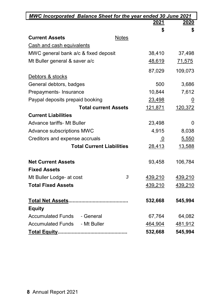| <b>MWC Incorporated Balance Sheet for the year ended 30 June 2021</b> |                |                |
|-----------------------------------------------------------------------|----------------|----------------|
|                                                                       | 2021           | 2020           |
|                                                                       | \$             | \$             |
| <b>Current Assets</b><br>Notes                                        |                |                |
| Cash and cash equivalents                                             |                |                |
| MWC general bank a/c & fixed deposit                                  | 38,410         | 37,498         |
| Mt Buller general & saver a/c                                         | 48,619         | 71,575         |
|                                                                       | 87,029         | 109,073        |
| Debtors & stocks                                                      |                |                |
| General debtors, badges                                               | 500            | 3,686          |
| Prepayments- Insurance                                                | 10,844         | 7,612          |
| Paypal deposits prepaid booking                                       | 23,498         | $\overline{0}$ |
| <b>Total current Assets</b>                                           | 121,871        | 120,372        |
| <b>Current Liabilities</b>                                            |                |                |
| <b>Advance tariffs- Mt Buller</b>                                     | 23,498         | 0              |
| Advance subscriptions MWC                                             | 4,915          | 8,038          |
| Creditors and expense accruals                                        | $\overline{0}$ | 5,550          |
| <b>Total Current Liabilities</b>                                      | 28,413         | <u>13,588</u>  |
| <b>Net Current Assets</b>                                             | 93,458         | 106,784        |
| <b>Fixed Assets</b>                                                   |                |                |
| 3<br>Mt Buller Lodge- at cost                                         | 439,210        | 439,210        |
| <b>Total Fixed Assets</b>                                             | 439,210        | 439,210        |
|                                                                       |                |                |
|                                                                       | 532,668        | 545,994        |
| <b>Equity</b>                                                         |                |                |
| Accumulated Funds - General                                           | 67,764         | 64,082         |
| - Mt Buller<br><b>Accumulated Funds</b>                               | 464,904        | 481,912        |
|                                                                       | 532,668        | 545,994        |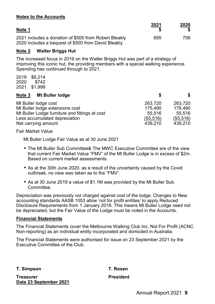#### **Notes to the Accounts**

| Note 1                                                                                                        | 2021 | 2020 |
|---------------------------------------------------------------------------------------------------------------|------|------|
| 2021 includes a donation of \$500 from Robert Bleakly<br>2020 includes a bequest of \$500 from David Bleakly. | 695  | 706. |

#### **Note 2 Walter Briggs Hut**

The increased focus in 2019 on the Walter Briggs Hut was part of a strategy of improving this iconic hut, the providing members with a special walking experience. Spending has continued through to 2021.

2019 \$6,214 2020 \$742 2021 \$1,999

| Mt Buller lodge<br>Note 3                      |           | S.        |
|------------------------------------------------|-----------|-----------|
| Mt Buller lodge cost                           | 263.720   | 263.720   |
| Mt Buller lodge extensions cost                | 175.490   | 178.490   |
| Mt Buller Lodge furniture and fittings at cost | 55.516    | 55.516    |
| Less accumulated depreciation                  | (55, 516) | (55, 516) |
| Net carrying amount                            | 439.210   | 439.210   |

Fair Market Value

Mt Buller Lodge Fair Value as at 30 June 2021

- The Mt Buller Sub Committee& The MWC Executive Committee are of the view that current Fair Market Value "FMV" of the Mt Buller Lodge is in excess of \$2m. Based on current market assessments.
- As at the 30th June 2020, as a result of the uncertainty caused by the Covid outbreak, no view was taken as to the "FMV".
- As at 30 June 2019 a value of \$1.1M was provided by the Mt Buller Sub Committee.

Depreciation was previously not charged against cost of the lodge. Changes to New accounting standards AASB 1053 allow 'not for profit entities' to apply Reduced Disclosure Requirements from 1 January 2018. This means Mt Buller Lodge need not be depreciated, but the Fair Value of the Lodge must be noted in the Accounts.

#### **Financial Statements**

The Financial Statements cover the Melbourne Walking Club Inc. Not For Profit (ACNC Non-reporting) as an individual entity incorporated and domiciled in Australia.

The Financial Statements were authorised for issue on 23 September 2021 by the Executive Committee of the Club.

**T. Simpson T. Rosen**

**Treasurer President Date 23 September 2021**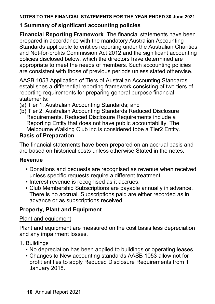#### **NOTES TO THE FINANCIAL STATEMENTS FOR THE YEAR ENDED 30 June 2021**

## **1 Summary of significant accounting policies**

**Financial Reporting Framework** The financial statements have been prepared in accordance with the mandatory Australian Accounting Standards applicable to entities reporting under the Australian Charities and Not-for-profits Commission Act 2012 and the significant accounting policies disclosed below, which the directors have determined are appropriate to meet the needs of members. Such accounting policies are consistent with those of previous periods unless stated otherwise.

AASB 1053 Application of Tiers of Australian Accounting Standards establishes a differential reporting framework consisting of two tiers of reporting requirements for preparing general purpose financial statements:

- (a) Tier 1: Australian Accounting Standards; and
- (b) Tier 2: Australian Accounting Standards Reduced Disclosure Requirements. Reduced Disclosure Requirements include a Reporting Entity that does not have public accountability. The Melbourne Walking Club inc is considered tobe a Tier2 Entity.

## **Basis of Preparation**

The financial statements have been prepared on an accrual basis and are based on historical costs unless otherwise Stated in the notes.

## **Revenue**

- Donations and bequests are recognised as revenue when received unless specific requests require a different treatment.
- Interest revenue is recognised as it accrues.
- Club Membership Subscriptions are payable annually in advance. There is no accrual. Subscriptions paid are either recorded as in advance or as subscriptions received.

## **Property, Plant and Equipment**

## Plant and equipment

Plant and equipment are measured on the cost basis less depreciation and any impairment losses.

- 1. Buildings
	- No depreciation has been applied to buildings or operating leases.
	- Changes to New accounting standards AASB 1053 allow not for profit entities to apply Reduced Disclosure Requirements from 1 January 2018.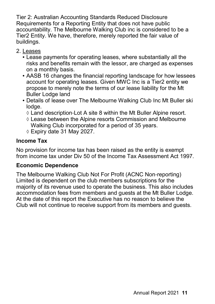Tier 2: Australian Accounting Standards Reduced Disclosure Requirements for a Reporting Entity that does not have public accountability. The Melbourne Walking Club inc is considered to be a Tier2 Entity. We have, therefore, merely reported the fair value of buildings.

- 2. Leases
	- Lease payments for operating leases, where substantially all the risks and benefits remain with the lessor, are charged as expenses on a monthly basis.
	- AASB 16 changes the financial reporting landscape for how lessees account for operating leases. Given MWC Inc is a Tier2 entity we propose to merely note the terms of our lease liability for the Mt Buller Lodge land
	- Details of lease over The Melbourne Walking Club Inc Mt Buller ski lodge.
		- Land description-Lot A site 8 within the Mt Buller Alpine resort.
		- $\Diamond$  Lease between the Alpine resorts Commission and Melbourne Walking Club incorporated for a period of 35 years.
		- Expiry date 31 May 2027.

## **Income Tax**

No provision for income tax has been raised as the entity is exempt from income tax under Div 50 of the Income Tax Assessment Act 1997.

## **Economic Dependence**

The Melbourne Walking Club Not For Profit (ACNC Non-reporting) Limited is dependent on the club members subscriptions for the majority of its revenue used to operate the business. This also includes accommodation fees from members and guests at the Mt Buller Lodge. At the date of this report the Executive has no reason to believe the Club will not continue to receive support from its members and guests.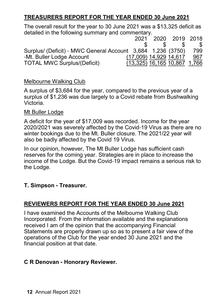## **TREASURERS REPORT FOR THE YEAR ENDED 30 June 2021**

The overall result for the year to 30 June 2021 was a \$13,325 deficit as detailed in the following summary and commentary.

|                                                             |                                | 2021 2020 2019 2018 |            |
|-------------------------------------------------------------|--------------------------------|---------------------|------------|
|                                                             |                                |                     |            |
| Surplus/ (Deficit) - MWC General Account 3,684 1,236 (3750) |                                |                     | 799.       |
| -Mt. Buller Lodge Account                                   | (17,009) 14,929 14,617         |                     | <u>967</u> |
| <b>TOTAL MWC Surplus/(Deficit)</b>                          | $(13,325)$ 16,165 10,867 1,766 |                     |            |

### Melbourne Walking Club

A surplus of \$3,684 for the year, compared to the previous year of a surplus of \$1,236 was due largely to a Covid rebate from Bushwalking Victoria.

#### Mt Buller Lodge

A deficit for the year of \$17,009 was recorded. Income for the year 2020/2021 was severely affected by the Covid-19 Virus as there are no winter bookings due to the Mt. Buller closure. The 2021/22 year will also be badly affected by the Covid 19 Virus.

In our opinion, however, The Mt Buller Lodge has sufficient cash reserves for the coming year. Strategies are in place to increase the income of the Lodge. But the Covid-19 impact remains a serious risk to the Lodge.

### **T. Simpson - Treasurer.**

## **REVIEWERS REPORT FOR THE YEAR ENDED 30 June 2021**

I have examined the Accounts of the Melbourne Walking Club Incorporated. From the information available and the explanations received I am of the opinion that the accompanying Financial Statements are properly drawn up so as to present a fair view of the operations of the Club for the year ended 30 June 2021 and the financial position at that date.

## **C R Denovan - Honorary Reviewer.**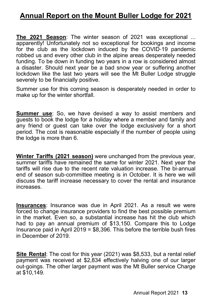## **Annual Report on the Mount Buller Lodge for 2021**

**The 2021 Season**: The winter season of 2021 was exceptional ... apparently! Unfortunately not so exceptional for bookings and income for the club as the lockdown induced by the COVID-19 pandemic robbed us and every other club in the alpine areas desperately needed funding. To be down in funding two years in a row is considered almost a disaster. Should next year be a bad snow year or suffering another lockdown like the last two vears will see the Mt Buller Lodge struggle severely to be financially positive.

Summer use for this coming season is desperately needed in order to make up for the winter shortfall.

**Summer use**: So, we have devised a way to assist members and guests to book the lodge for a holiday where a member and family and any friend or guest can take over the lodge exclusively for a short period. The cost is reasonable especially if the number of people using the lodge is more than 6.

**Winter Tariffs (2021 season)** were unchanged from the previous year, summer tariffs have remained the same for winter 2021. Next year the tariffs will rise due to the recent rate valuation increase. The bi-annual end of season sub-committee meeting is in October. It is here we will discuss the tariff increase necessary to cover the rental and insurance increases.

**Insurances**: Insurance was due in April 2021. As a result we were forced to change insurance providers to find the best possible premium in the market. Even so, a substantial increase has hit the club which had to pay an annual premium of \$13,150. Compare this to Lodge Insurance paid in April 2019 = \$8,396. This before the terrible bush fires in December of 2019.

**Site Rental**: The cost for this year (2021) was \$8,533, but a rental relief payment was received at \$2,834 effectively halving one of our larger out-goings. The other larger payment was the Mt Buller service Charge at \$10,149.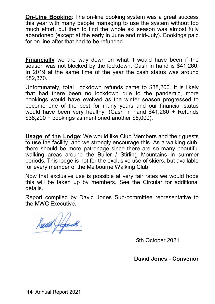**On-Line Booking**: The on-line booking system was a great success this year with many people managing to use the system without too much effort, but then to find the whole ski season was almost fully abandoned (except at the early in June and mid-July). Bookings paid for on line after that had to be refunded.

**Financially** we are way down on what it would have been if the season was not blocked by the lockdown. Cash in hand is \$41,260. In 2019 at the same time of the year the cash status was around \$82,370.

Unfortunately, total Lockdown refunds came to \$38,200. It is likely that had there been no lockdown due to the pandemic, more bookings would have evolved as the winter season progressed to become one of the best for many years and our financial status would have been very healthy. (Cash in hand \$41,260 + Refunds \$38,200 + bookings as mentioned another \$6,000).

**Usage of the Lodge**: We would like Club Members and their guests to use the facility, and we strongly encourage this. As a walking club, there should be more patronage since there are so many beautiful walking areas around the Buller / Stirling Mountains in summer periods. This lodge is not for the exclusive use of skiers, but available for every member of the Melbourne Walking Club.

Now that exclusive use is possible at very fair rates we would hope this will be taken up by members. See the Circular for additional details.

Report compiled by David Jones Sub-committee representative to the MWC Executive.

Sant Jefens.

5th October 2021

**David Jones - Convenor**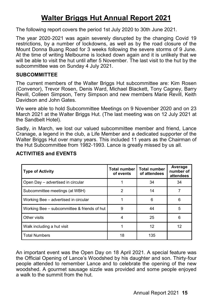## **Walter Briggs Hut Annual Report 2021**

The following report covers the period 1st July 2020 to 30th June 2021.

The year 2020-2021 was again severely disrupted by the changing Covid 19 restrictions, by a number of lockdowns, as well as by the road closure of the Mount Donna Buang Road for 3 weeks following the severe storms of 9 June. At the time of writing Melbourne is locked down again and it is unlikely that we will be able to visit the hut until after 5 November. The last visit to the hut by the subcommittee was on Sunday 4 July 2021.

#### **SUBCOMMITTEE**

The current members of the Walter Briggs Hut subcommittee are: Kim Rosen (Convenor), Trevor Rosen, Denis Ward, Michael Blackett, Tony Cagney, Barry Revill, Colleen Simpson, Terry Simpson and new members Marie Revill, Keith Davidson and John Gates.

We were able to hold Subcommittee Meetings on 9 November 2020 and on 23 March 2021 at the Walter Briggs Hut. (The last meeting was on 12 July 2021 at the Sandbelt Hotel).

Sadly, in March, we lost our valued subcommittee member and friend, Lance Cranage, a legend in the club, a Life Member and a dedicated supporter of the Walter Briggs Hut over many years. This included 11 years as the Chairman of the Hut Subcommittee from 1982-1993. Lance is greatly missed by us all.

| <b>Type of Activity</b>                     | <b>Total number</b><br>of events | <b>Total number</b><br>of attendees | Average<br>number of<br>attendees |
|---------------------------------------------|----------------------------------|-------------------------------------|-----------------------------------|
| Open Day - advertised in circular           |                                  | 34                                  | 34                                |
| Subcommittee meetings (at WBH)              | 2                                | 14                                  |                                   |
| Working Bee – advertised in circular        |                                  | 6                                   | 6                                 |
| Working Bee – subcommittee & friends of hut | 9                                | 44                                  | 5                                 |
| Other visits                                | 4                                | 25                                  | 6                                 |
| Walk including a hut visit                  |                                  | 12                                  | 12                                |
| <b>Total Numbers</b>                        | 18                               | 135                                 |                                   |

### **ACTIVITIES and EVENTS**

An important event was the Open Day on 18 April 2021. A special feature was the Official Opening of Lance's Woodshed by his daughter and son. Thirty-four people attended to remember Lance and to celebrate the opening of the new woodshed. A gourmet sausage sizzle was provided and some people enjoyed a walk to the summit from the hut.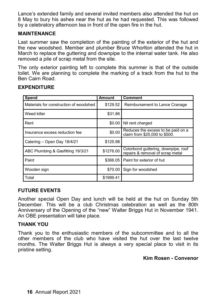Lance's extended family and several invited members also attended the hut on 8 May to bury his ashes near the hut as he had requested. This was followed by a celebratory afternoon tea in front of the open fire in the hut.

#### **MAINTENANCE**

Last summer saw the completion of the painting of the exterior of the hut and the new woodshed. Member and plumber Bruce Whorlton attended the hut in March to replace the guttering and downpipe to the internal water tank. He also removed a pile of scrap metal from the site.

The only exterior painting left to complete this summer is that of the outside toilet. We are planning to complete the marking of a track from the hut to the Ben Cairn Road.

| Spend                                  | <b>Amount</b> | Comment                                                                 |
|----------------------------------------|---------------|-------------------------------------------------------------------------|
| Materials for construction of woodshed | \$129.52      | Reimbursement to Lance Cranage                                          |
| Weed killer                            | \$31.86       |                                                                         |
| Rent                                   | \$0.00        | Nil rent charged                                                        |
| Insurance excess reduction fee         | \$0.00        | Reduces the excess to be paid on a<br>claim from \$25,000 to \$500.     |
| Catering – Open Day 18/4/21            | \$125.98      |                                                                         |
| ABC Plumbing & Gasfitting 19/3/21      | \$1276.00     | Colorbond guttering, downpipe, roof<br>repairs & removal of scrap metal |
| Paint                                  | \$366.05      | Paint for exterior of hut                                               |
| Wooden sign                            | \$70.00       | Sign for woodshed                                                       |
| Total                                  | \$1999.41     |                                                                         |

#### **EXPENDITURE**

#### **FUTURE EVENTS**

Another special Open Day and lunch will be held at the hut on Sunday 5th December. This will be a club Christmas celebration as well as the 80th Anniversary of the Opening of the "new" Walter Briggs Hut in November 1941. An OBE presentation will take place.

#### **THANK YOU**

Thank you to the enthusiastic members of the subcommittee and to all the other members of the club who have visited the hut over the last twelve months. The Walter Briggs Hut is always a very special place to visit in its pristine setting.

#### **Kim Rosen - Convenor**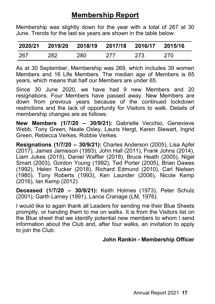## **Membership Report**

Membership was slightly down for the year with a total of 267 at 30 June. Trends for the last six years are shown in the table below:

|      |     |      | 2020/21 2019/20 2018/19 2017/18 2016/17 2015/16 |     |     |
|------|-----|------|-------------------------------------------------|-----|-----|
| -267 | 282 | 280. | 277                                             | 273 | 270 |

As at 30 September, Membership was 269, which includes 39 women Members and 16 Life Members. The median age of Members is 65 years, which means that half our Members are under 65.

Since 30 June 2020, we have had 9 new Members and 20 resignations. Four Members have passed away. New Members are down from previous years because of the continued lockdown restrictions and the lack of opportunity for Visitors to walk. Details of membership changes are as follows:

**New Members (1/7/20 – 30/9/21):** Gabrielle Vecchio, Genevieve Webb, Tony Green, Neale Oxley, Lauris Hergt, Karen Stewart, Ingrid Green, Rebecca Verkes, Robbie Verkes.

**Resignations (1/7/20 – 30/9/21):** Charles Anderson (2005), Lisa Apfel (2017), James Jamieson (1993), John Hall (2011), Frank Johns (2014), Liam Jukes (2015), Daniel Waffler (2018), Bruce Heath (2005), Nigel Smart (2003), Gordon Young (1992), Ted Porter (2005), Brian Dawes (1992), Helen Tucker (2018), Richard Edmund (2010), Carl Nielsen (1980), Tony Roberts (1993), Ken Launder (2006), Nicole Kemp (2016), Ian Kemp (2012).

**Deceased (1/7/20 – 30/9/21):** Keith Holmes (1973), Peter Schulz (2001), Garth Lamey (1991), Lance Cranage (LM, 1976).

I would like to again thank all Leaders for sending me their Blue Sheets promptly, or handing them to me on walks. It is from the Visitors list on the Blue sheet that we identify potential new members to whom I send information about the Club and, after four walks, an invitation to apply to join the Club.

## **John Rankin - Membership Officer**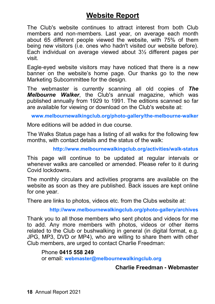## **Website Report**

The Club's website continues to attract interest from both Club members and non-members. Last year, on average each month about 65 different people viewed the website, with 75% of them being new visitors (i.e. ones who hadn't visited our website before). Each individual on average viewed about 3½ different pages per visit.

Eagle-eyed website visitors may have noticed that there is a new banner on the website's home page. Our thanks go to the new Marketing Subcommittee for the design.

The webmaster is currently scanning all old copies of *The Melbourne Walker*, the Club's annual magazine, which was published annually from 1929 to 1991. The editions scanned so far are available for viewing or download on the Club's website at:

**www.melbournewalkingclub.org/photo-gallery/the-melbourne-walker**

More editions will be added in due course.

The Walks Status page has a listing of all walks for the following few months, with contact details and the status of the walk:

**http://www.melbournewalkingclub.org/activities/walk-status**

This page will continue to be updated at regular intervals or whenever walks are cancelled or amended. Please refer to it during Covid lockdowns.

The monthly circulars and activities programs are available on the website as soon as they are published. Back issues are kept online for one year.

There are links to photos, videos etc. from the Clubs website at:

**http://www.melbournewalkingclub.org/photo-gallery/archives**

Thank you to all those members who sent photos and videos for me to add. Any more members with photos, videos or other items related to the Club or bushwalking in general (in digital format, e.g. JPG, MP3, DVD or MP4), who are willing to share them with other Club members, are urged to contact Charlie Freedman:

Phone **0415 558 249** or email: **webmaster@melbournewalkingclub.org**

### **Charlie Freedman - Webmaster**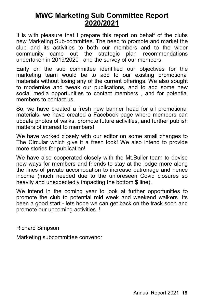## **MWC Marketing Sub Committee Report 2020/2021**

It is with pleasure that I prepare this report on behalf of the clubs new Marketing Sub-committee. The need to promote and market the club and its activities to both our members and to the wider community came out the strategic plan recommendations undertaken in 2019/2020 , and the survey of our members.

Early on the sub committee identified our objectives for the marketing team would be to add to our existing promotional materials without losing any of the current offerings. We also sought to modernise and tweak our publications, and to add some new social media opportunities to contact members , and for potential members to contact us.

So, we have created a fresh new banner head for all promotional materials, we have created a Facebook page where members can update photos of walks, promote future activities, and further publish matters of interest to members!

We have worked closely with our editor on some small changes to The Circular which give it a fresh look! We also intend to provide more stories for publication!

We have also cooperated closely with the Mt.Buller team to devise new ways for members and friends to stay at the lodge more along the lines of private accomodation to increase patronage and hence income (much needed due to the unforeseen Covid closures so heavily and unexpectedly impacting the bottom \$ line).

We intend in the coming year to look at further opportunities to promote the club to potential mid week and weekend walkers. Its been a good start - lets hope we can get back on the track soon and promote our upcoming activities..!

Richard Simpson

Marketing subcommittee convenor